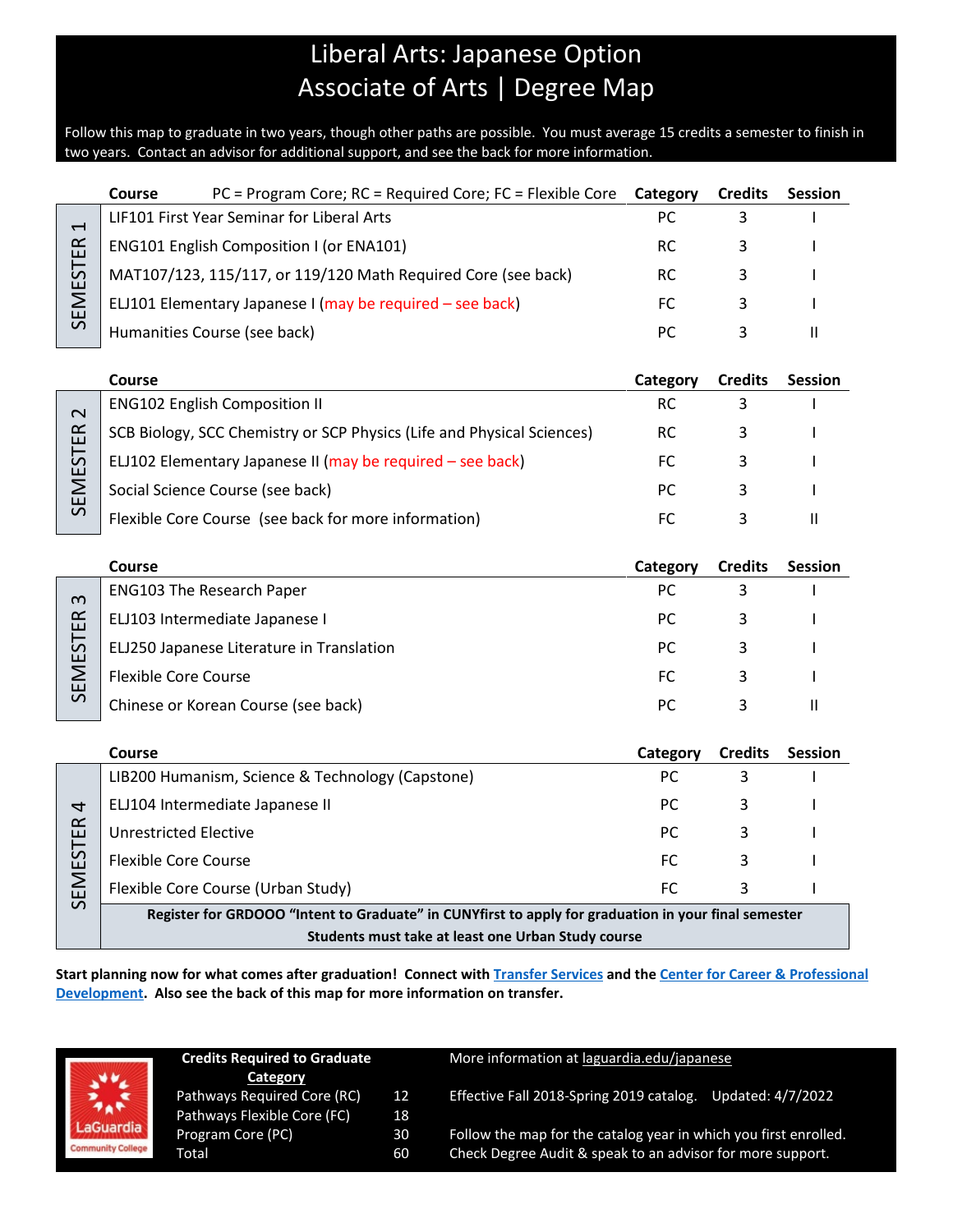## Liberal Arts: Japanese Option Associate of Arts | Degree Map

Follow this map to graduate in two years, though other paths are possible. You must average 15 credits a semester to finish in two years. Contact an advisor for additional support, and see the back for more information.

|                                                    | Course                                                                                               | PC = Program Core; RC = Required Core; FC = Flexible Core              | Category  | <b>Credits</b> | <b>Session</b> |  |  |  |  |
|----------------------------------------------------|------------------------------------------------------------------------------------------------------|------------------------------------------------------------------------|-----------|----------------|----------------|--|--|--|--|
| H<br>SEMESTER                                      | LIF101 First Year Seminar for Liberal Arts                                                           |                                                                        |           | 3              |                |  |  |  |  |
|                                                    | ENG101 English Composition I (or ENA101)                                                             |                                                                        |           | 3              |                |  |  |  |  |
|                                                    |                                                                                                      | MAT107/123, 115/117, or 119/120 Math Required Core (see back)          | <b>RC</b> | 3              |                |  |  |  |  |
|                                                    | ELJ101 Elementary Japanese I (may be required - see back)                                            |                                                                        | FC        | 3              |                |  |  |  |  |
|                                                    | Humanities Course (see back)                                                                         |                                                                        | PC        | 3              | $\mathbf{H}$   |  |  |  |  |
|                                                    |                                                                                                      |                                                                        |           |                |                |  |  |  |  |
|                                                    | Course                                                                                               |                                                                        | Category  | <b>Credits</b> | <b>Session</b> |  |  |  |  |
| $\mathbf 2$<br><b>SEMESTER</b>                     |                                                                                                      | <b>ENG102 English Composition II</b>                                   | <b>RC</b> | 3              |                |  |  |  |  |
|                                                    |                                                                                                      | SCB Biology, SCC Chemistry or SCP Physics (Life and Physical Sciences) | <b>RC</b> | 3              |                |  |  |  |  |
|                                                    |                                                                                                      | ELJ102 Elementary Japanese II (may be required - see back)             | FC        | 3              |                |  |  |  |  |
|                                                    |                                                                                                      | Social Science Course (see back)                                       | PC        | 3              |                |  |  |  |  |
|                                                    |                                                                                                      | Flexible Core Course (see back for more information)                   | <b>FC</b> | 3              | $\mathbf{H}$   |  |  |  |  |
|                                                    |                                                                                                      |                                                                        |           |                |                |  |  |  |  |
|                                                    | Course                                                                                               |                                                                        | Category  | <b>Credits</b> | <b>Session</b> |  |  |  |  |
| S<br><b>SEMESTER</b>                               |                                                                                                      | <b>ENG103 The Research Paper</b>                                       | PC        | 3              |                |  |  |  |  |
|                                                    |                                                                                                      | ELJ103 Intermediate Japanese I                                         | <b>PC</b> | 3              |                |  |  |  |  |
|                                                    |                                                                                                      | ELJ250 Japanese Literature in Translation                              | PC        | 3              |                |  |  |  |  |
|                                                    | <b>Flexible Core Course</b>                                                                          |                                                                        | FC        | 3              |                |  |  |  |  |
|                                                    |                                                                                                      | Chinese or Korean Course (see back)                                    | PC        | 3              | $\mathbf{H}$   |  |  |  |  |
|                                                    |                                                                                                      |                                                                        |           |                |                |  |  |  |  |
|                                                    | Course                                                                                               |                                                                        | Category  | <b>Credits</b> | <b>Session</b> |  |  |  |  |
|                                                    |                                                                                                      | LIB200 Humanism, Science & Technology (Capstone)                       | PC        | 3              |                |  |  |  |  |
| 4                                                  |                                                                                                      | ELJ104 Intermediate Japanese II                                        | <b>PC</b> | 3              |                |  |  |  |  |
|                                                    | <b>Unrestricted Elective</b>                                                                         |                                                                        | PC        | 3              |                |  |  |  |  |
|                                                    | <b>Flexible Core Course</b>                                                                          |                                                                        | FC        | 3              |                |  |  |  |  |
| SEMESTER                                           |                                                                                                      | Flexible Core Course (Urban Study)                                     | <b>FC</b> | 3              | I.             |  |  |  |  |
|                                                    | Register for GRDOOO "Intent to Graduate" in CUNYfirst to apply for graduation in your final semester |                                                                        |           |                |                |  |  |  |  |
| Students must take at least one Urban Study course |                                                                                                      |                                                                        |           |                |                |  |  |  |  |

**Start planning now for what comes after graduation! Connect with [Transfer Services](https://www.laguardia.edu/transferservices/) and the [Center for Career & Professional](https://www.laguardia.edu/careerservices/)  [Development.](https://www.laguardia.edu/careerservices/) Also see the back of this map for more information on transfer.**

|                          | <b>Credits Required to Graduate</b><br>Category |    | More information at laguardia.edu/japanese                       |  |  |
|--------------------------|-------------------------------------------------|----|------------------------------------------------------------------|--|--|
| $\frac{1}{2}$            | Pathways Required Core (RC)                     | 12 | Effective Fall 2018-Spring 2019 catalog.                         |  |  |
|                          | Pathways Flexible Core (FC)                     | 18 | Updated: 4/7/2022                                                |  |  |
| LaGuardia                | Program Core (PC)                               | 30 | Follow the map for the catalog year in which you first enrolled. |  |  |
| <b>Community College</b> | Total                                           | 60 | Check Degree Audit & speak to an advisor for more support.       |  |  |